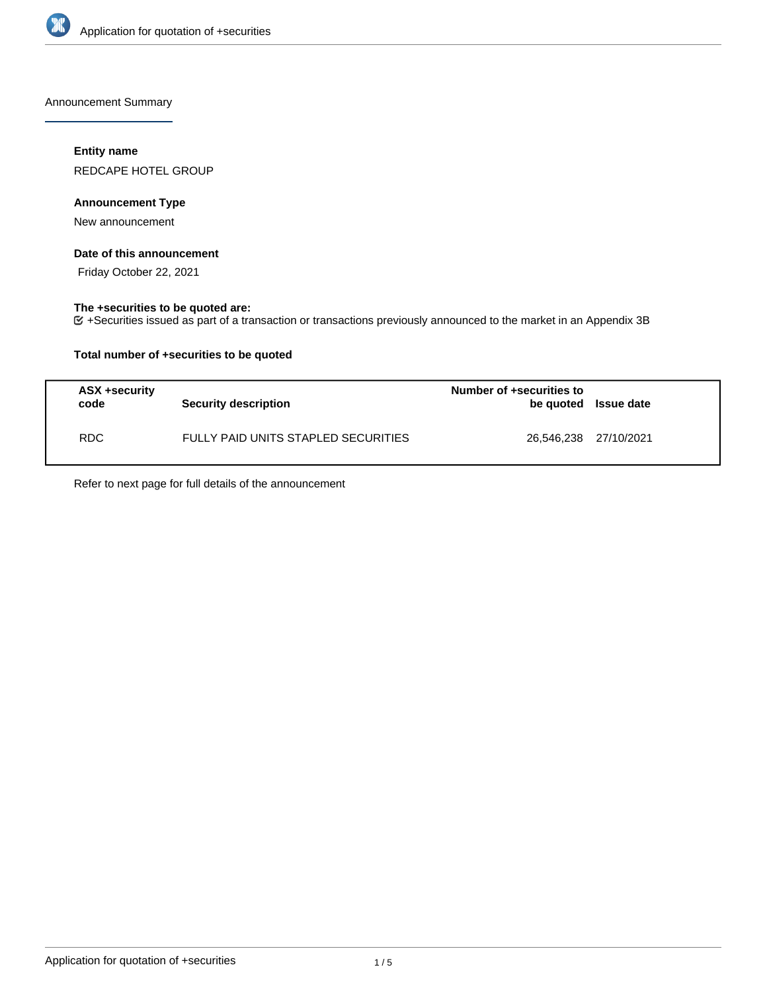

Announcement Summary

### **Entity name**

REDCAPE HOTEL GROUP

### **Announcement Type**

New announcement

### **Date of this announcement**

Friday October 22, 2021

## **The +securities to be quoted are:**

+Securities issued as part of a transaction or transactions previously announced to the market in an Appendix 3B

### **Total number of +securities to be quoted**

| ASX +security<br>code | Security description                | Number of +securities to<br>be quoted Issue date |  |
|-----------------------|-------------------------------------|--------------------------------------------------|--|
| RDC.                  | FULLY PAID UNITS STAPLED SECURITIES | 26,546,238 27/10/2021                            |  |

Refer to next page for full details of the announcement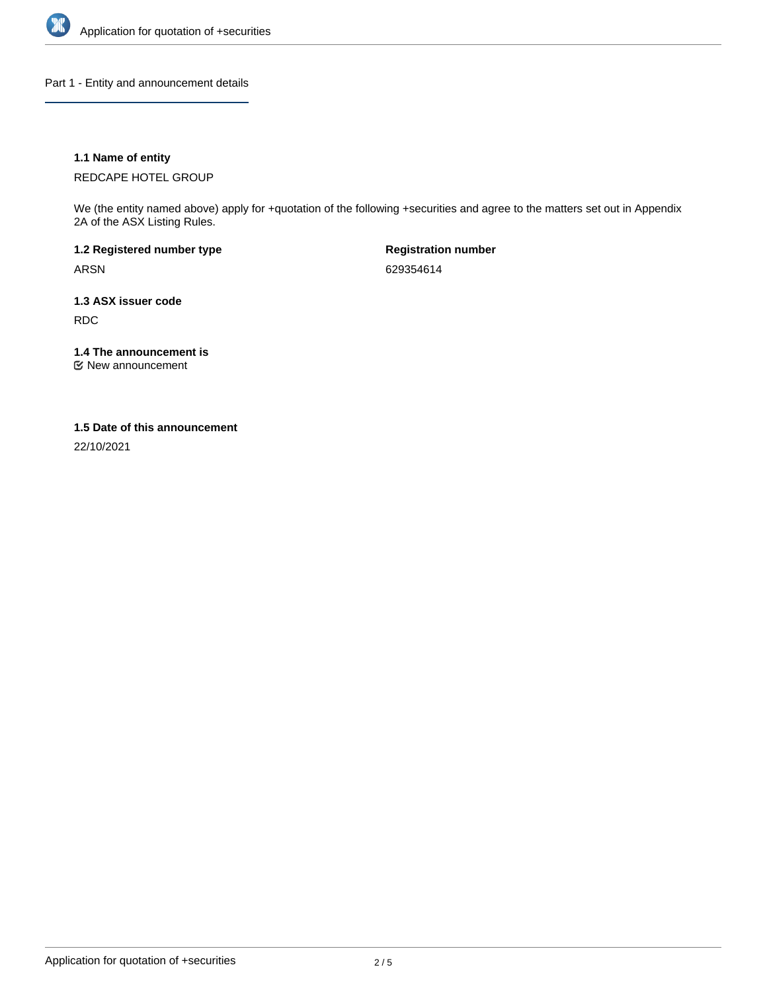

Part 1 - Entity and announcement details

### **1.1 Name of entity**

REDCAPE HOTEL GROUP

We (the entity named above) apply for +quotation of the following +securities and agree to the matters set out in Appendix 2A of the ASX Listing Rules.

**1.2 Registered number type** ARSN

**Registration number** 629354614

**1.3 ASX issuer code** RDC

**1.4 The announcement is**

New announcement

#### **1.5 Date of this announcement**

22/10/2021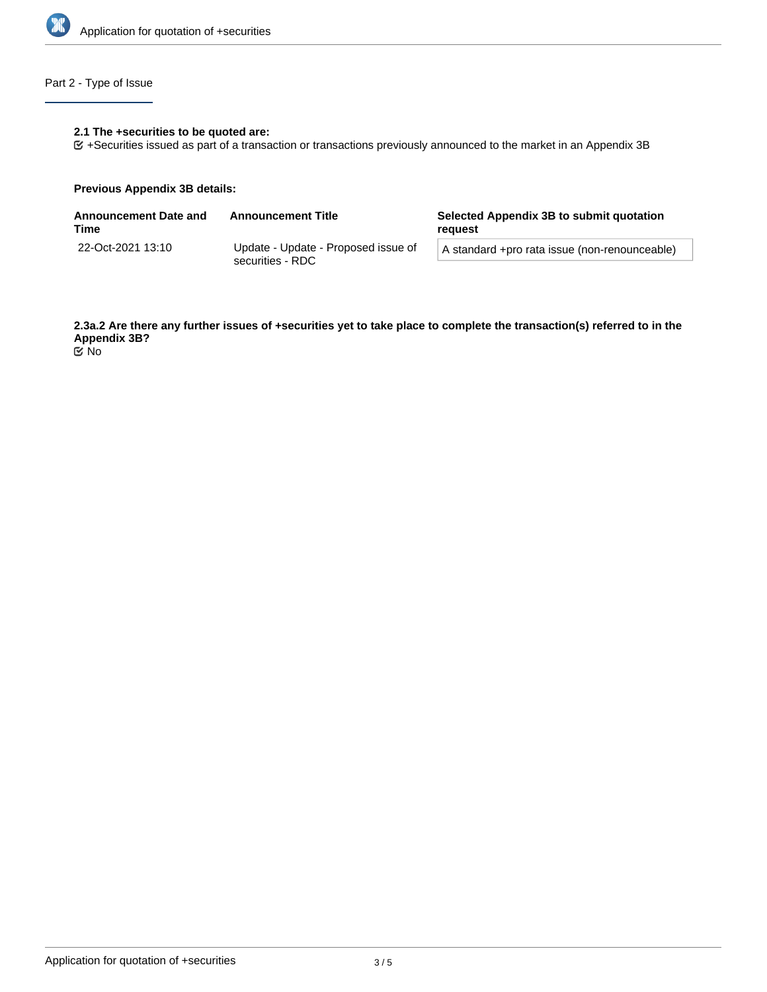

# Part 2 - Type of Issue

### **2.1 The +securities to be quoted are:**

+Securities issued as part of a transaction or transactions previously announced to the market in an Appendix 3B

#### **Previous Appendix 3B details:**

| Announcement Date and<br>Time | <b>Announcement Title</b>                               | Selected Appendix 3B to submit quotation<br>reauest |  |
|-------------------------------|---------------------------------------------------------|-----------------------------------------------------|--|
| 22-Oct-2021 13:10             | Update - Update - Proposed issue of<br>securities - RDC | A standard +pro rata issue (non-renounceable)       |  |
|                               |                                                         |                                                     |  |

**2.3a.2 Are there any further issues of +securities yet to take place to complete the transaction(s) referred to in the Appendix 3B?** No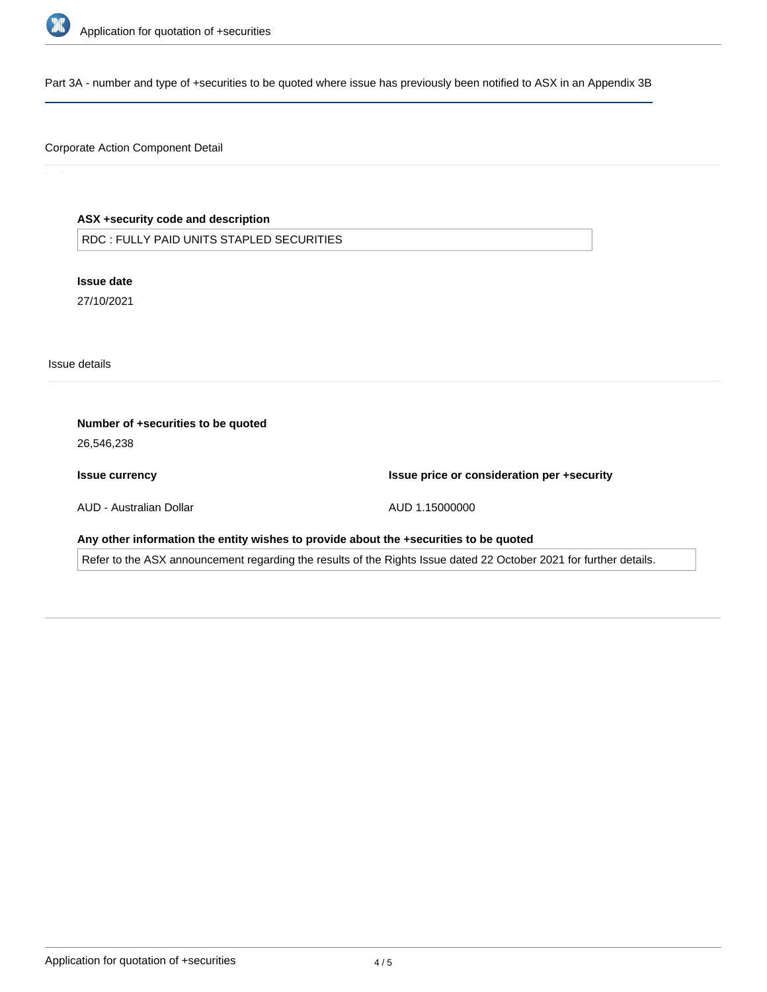

Part 3A - number and type of +securities to be quoted where issue has previously been notified to ASX in an Appendix 3B

### Corporate Action Component Detail

### **ASX +security code and description**

RDC : FULLY PAID UNITS STAPLED SECURITIES

**Issue date** 27/10/2021

Issue details

| Number of +securities to be quoted<br>26,546,238                                                                   |                                            |  |  |  |
|--------------------------------------------------------------------------------------------------------------------|--------------------------------------------|--|--|--|
| <b>Issue currency</b>                                                                                              | Issue price or consideration per +security |  |  |  |
| AUD - Australian Dollar                                                                                            | AUD 1.15000000                             |  |  |  |
| Any other information the entity wishes to provide about the +securities to be quoted                              |                                            |  |  |  |
| Refer to the ASX announcement regarding the results of the Rights Issue dated 22 October 2021 for further details. |                                            |  |  |  |